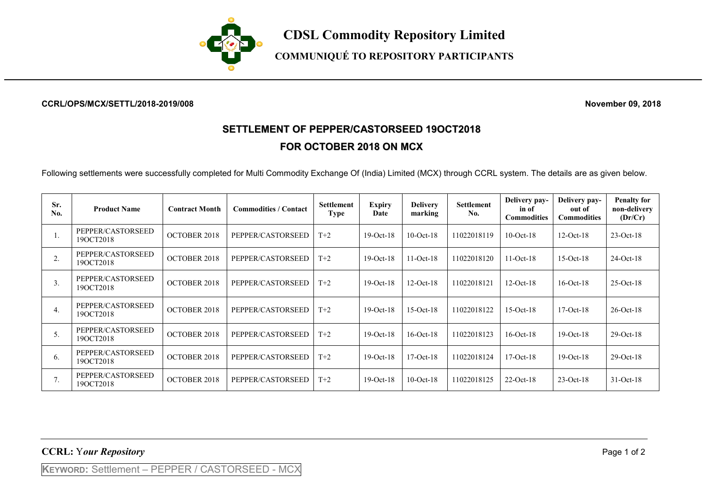

**COMMUNIQUÉ TO REPOSITORY PARTICIPANTS**

## **CCRL/OPS/MCX/SETTL/2018-2019/008 November 09, 2018**

## **SETTLEMENT OF PEPPER/CASTORSEED 19OCT2018 FOR OCTOBER 2018 ON MCX**

Following settlements were successfully completed for Multi Commodity Exchange Of (India) Limited (MCX) through CCRL system. The details are as given below.

| Sr.<br>No. | <b>Product Name</b>            | <b>Contract Month</b> | <b>Commodities / Contact</b> | <b>Settlement</b><br><b>Type</b> | <b>Expiry</b><br>Date | <b>Delivery</b><br>marking | <b>Settlement</b><br>No. | Delivery pay-<br>in of<br><b>Commodities</b> | Delivery pay-<br>out of<br><b>Commodities</b> | <b>Penalty for</b><br>non-delivery<br>(Dr/Cr) |
|------------|--------------------------------|-----------------------|------------------------------|----------------------------------|-----------------------|----------------------------|--------------------------|----------------------------------------------|-----------------------------------------------|-----------------------------------------------|
|            | PEPPER/CASTORSEED<br>190CT2018 | <b>OCTOBER 2018</b>   | PEPPER/CASTORSEED            | $T+2$                            | $19-Oct-18$           | $10$ -Oct- $18$            | 11022018119              | $10$ -Oct- $18$                              | $12-Oct-18$                                   | $23-Oct-18$                                   |
| 2.         | PEPPER/CASTORSEED<br>19OCT2018 | <b>OCTOBER 2018</b>   | PEPPER/CASTORSEED            | $T+2$                            | $19-Oct-18$           | $11-Oct-18$                | 11022018120              | $11-Oct-18$                                  | $15-Oct-18$                                   | $24-Oct-18$                                   |
| 3.         | PEPPER/CASTORSEED<br>19OCT2018 | <b>OCTOBER 2018</b>   | PEPPER/CASTORSEED            | $T+2$                            | $19-Oct-18$           | $12-Oct-18$                | 11022018121              | $12-Oct-18$                                  | $16$ -Oct- $18$                               | $25-Oct-18$                                   |
| 4.         | PEPPER/CASTORSEED<br>19OCT2018 | <b>OCTOBER 2018</b>   | PEPPER/CASTORSEED            | $T+2$                            | $19-Oct-18$           | $15-Oct-18$                | 11022018122              | $15-Oct-18$                                  | $17-Oct-18$                                   | $26$ -Oct-18                                  |
| 5.         | PEPPER/CASTORSEED<br>190CT2018 | <b>OCTOBER 2018</b>   | PEPPER/CASTORSEED            | $T+2$                            | $19-Oct-18$           | $16$ -Oct- $18$            | 11022018123              | $16$ -Oct- $18$                              | $19-Oct-18$                                   | $29-Oct-18$                                   |
| 6.         | PEPPER/CASTORSEED<br>190CT2018 | <b>OCTOBER 2018</b>   | PEPPER/CASTORSEED            | $T+2$                            | $19-Oct-18$           | $17-Oct-18$                | 11022018124              | $17-Oct-18$                                  | $19-Oct-18$                                   | $29-Oct-18$                                   |
| 7.         | PEPPER/CASTORSEED<br>19OCT2018 | <b>OCTOBER 2018</b>   | PEPPER/CASTORSEED            | $T+2$                            | $19-Oct-18$           | $10$ -Oct- $18$            | 11022018125              | $22$ -Oct-18                                 | $23-Oct-18$                                   | $31-Oct-18$                                   |